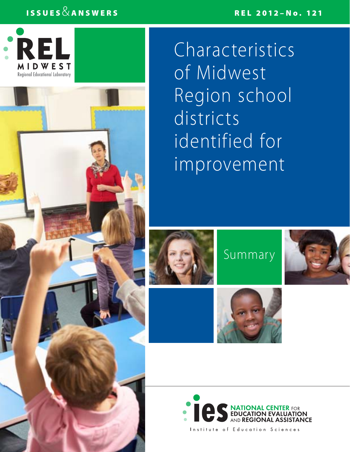## ISSUES  $\&$  answers relationship in the contract of the REL 2012–No. 121



Characteristics of Midwest Region school districts identified for improvement



Summary







Institute of Education Sciences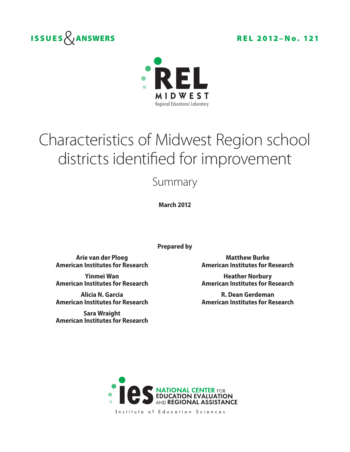



# Characteristics of Midwest Region school districts identified for improvement

Summary

**March 2012**

**Prepared by**

**Arie van der Ploeg Matthew Burke American Institutes for Research American Institutes for Research**

**American Institutes for Research American Institutes for Research**

**American Institutes for Research American Institutes for Research**

**Sara Wraight American Institutes for Research**

**Yinmei Wan Heather Norbury** 

**Alicia N. Garcia R. Dean Gerdeman**



Institute of Education Sciences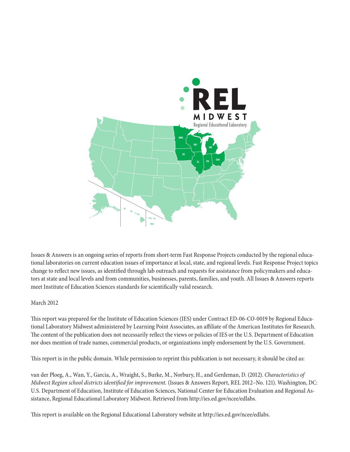

Issues & Answers is an ongoing series of reports from short-term Fast Response Projects conducted by the regional educational laboratories on current education issues of importance at local, state, and regional levels. Fast Response Project topics change to reflect new issues, as identified through lab outreach and requests for assistance from policymakers and educators at state and local levels and from communities, businesses, parents, families, and youth. All Issues & Answers reports meet Institute of Education Sciences standards for scientifically valid research.

#### March 2012

This report was prepared for the Institute of Education Sciences (IES) under Contract ED-06-CO-0019 by Regional Educational Laboratory Midwest administered by Learning Point Associates, an affiliate of the American Institutes for Research. The content of the publication does not necessarily reflect the views or policies of IES or the U.S. Department of Education nor does mention of trade names, commercial products, or organizations imply endorsement by the U.S. Government.

This report is in the public domain. While permission to reprint this publication is not necessary, it should be cited as:

van der Ploeg, A., Wan, Y., Garcia, A., Wraight, S., Burke, M., Norbury, H., and Gerdeman, D. (2012). *Characteristics of Midwest Region school districts identified for improvement.* (Issues & Answers Report, REL 2012–No. 121). Washington, DC: U.S. Department of Education, Institute of Education Sciences, National Center for Education Evaluation and Regional Assistance, Regional Educational Laboratory Midwest. Retrieved from http://ies.ed.gov/ncee/edlabs.

This report is available on the Regional Educational Laboratory website at http://ies.ed.gov/ncee/edlabs.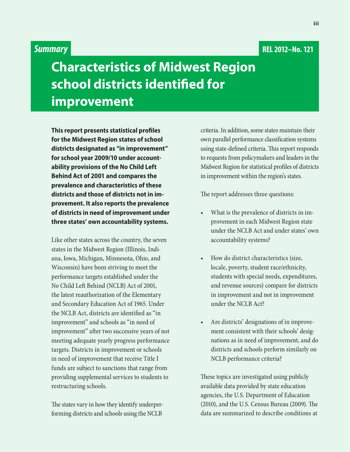#### **REL 2012–No. 121**

### *Summary*

# **Characteristics of Midwest Region school districts identified for improvement**

**This report presents statistical profiles for the Midwest Region states of school districts designated as "in improvement" for school year 2009/10 under accountability provisions of the No Child Left Behind Act of 2001 and compares the prevalence and characteristics of these districts and those of districts not in improvement. It also reports the prevalence of districts in need of improvement under three states' own accountability systems.**

Like other states across the country, the seven states in the Midwest Region (Illinois, Indiana, Iowa, Michigan, Minnesota, Ohio, and Wisconsin) have been striving to meet the performance targets established under the No Child Left Behind (NCLB) Act of 2001, the latest reauthorization of the Elementary and Secondary Education Act of 1965. Under the NCLB Act, districts are identified as "in improvement" and schools as "in need of improvement" after two successive years of not meeting adequate yearly progress performance targets. Districts in improvement or schools in need of improvement that receive Title I funds are subject to sanctions that range from providing supplemental services to students to restructuring schools.

The states vary in how they identify underperforming districts and schools using the NCLB

criteria. In addition, some states maintain their own parallel performance classification systems using state-defined criteria. This report responds to requests from policymakers and leaders in the Midwest Region for statistical profiles of districts in improvement within the region's states.

The report addresses three questions:

- What is the prevalence of districts in improvement in each Midwest Region state under the NCLB Act and under states' own accountability systems?
- How do district characteristics (size, locale, poverty, student race/ethnicity, students with special needs, expenditures, and revenue sources) compare for districts in improvement and not in improvement under the NCLB Act?
- Are districts' designations of in improvement consistent with their schools' designations as in need of improvement, and do districts and schools perform similarly on NCLB performance criteria?

These topics are investigated using publicly available data provided by state education agencies, the U.S. Department of Education (2010), and the U.S. Census Bureau (2009). The data are summarized to describe conditions at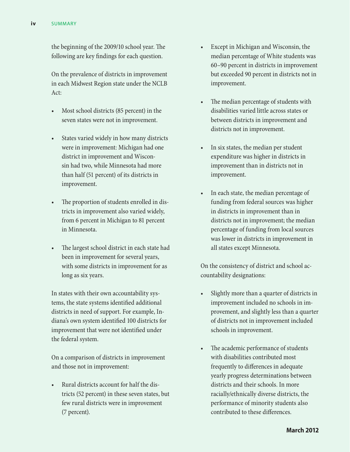the beginning of the 2009/10 school year. The following are key findings for each question.

On the prevalence of districts in improvement in each Midwest Region state under the NCLB Act:

- Most school districts (85 percent) in the seven states were not in improvement.
- States varied widely in how many districts were in improvement: Michigan had one district in improvement and Wisconsin had two, while Minnesota had more than half (51 percent) of its districts in improvement.
- The proportion of students enrolled in districts in improvement also varied widely, from 6 percent in Michigan to 81 percent in Minnesota.
- The largest school district in each state had been in improvement for several years, with some districts in improvement for as long as six years.

In states with their own accountability systems, the state systems identified additional districts in need of support. For example, Indiana's own system identified 100 districts for improvement that were not identified under the federal system.

On a comparison of districts in improvement and those not in improvement:

Rural districts account for half the districts (52 percent) in these seven states, but few rural districts were in improvement (7 percent).

- • Except in Michigan and Wisconsin, the median percentage of White students was 60–90 percent in districts in improvement but exceeded 90 percent in districts not in improvement.
- The median percentage of students with disabilities varied little across states or between districts in improvement and districts not in improvement.
- In six states, the median per student expenditure was higher in districts in improvement than in districts not in improvement.
- In each state, the median percentage of funding from federal sources was higher in districts in improvement than in districts not in improvement; the median percentage of funding from local sources was lower in districts in improvement in all states except Minnesota.

On the consistency of district and school accountability designations:

- Slightly more than a quarter of districts in improvement included no schools in improvement, and slightly less than a quarter of districts not in improvement included schools in improvement.
- The academic performance of students with disabilities contributed most frequently to differences in adequate yearly progress determinations between districts and their schools. In more racially/ethnically diverse districts, the performance of minority students also contributed to these differences.